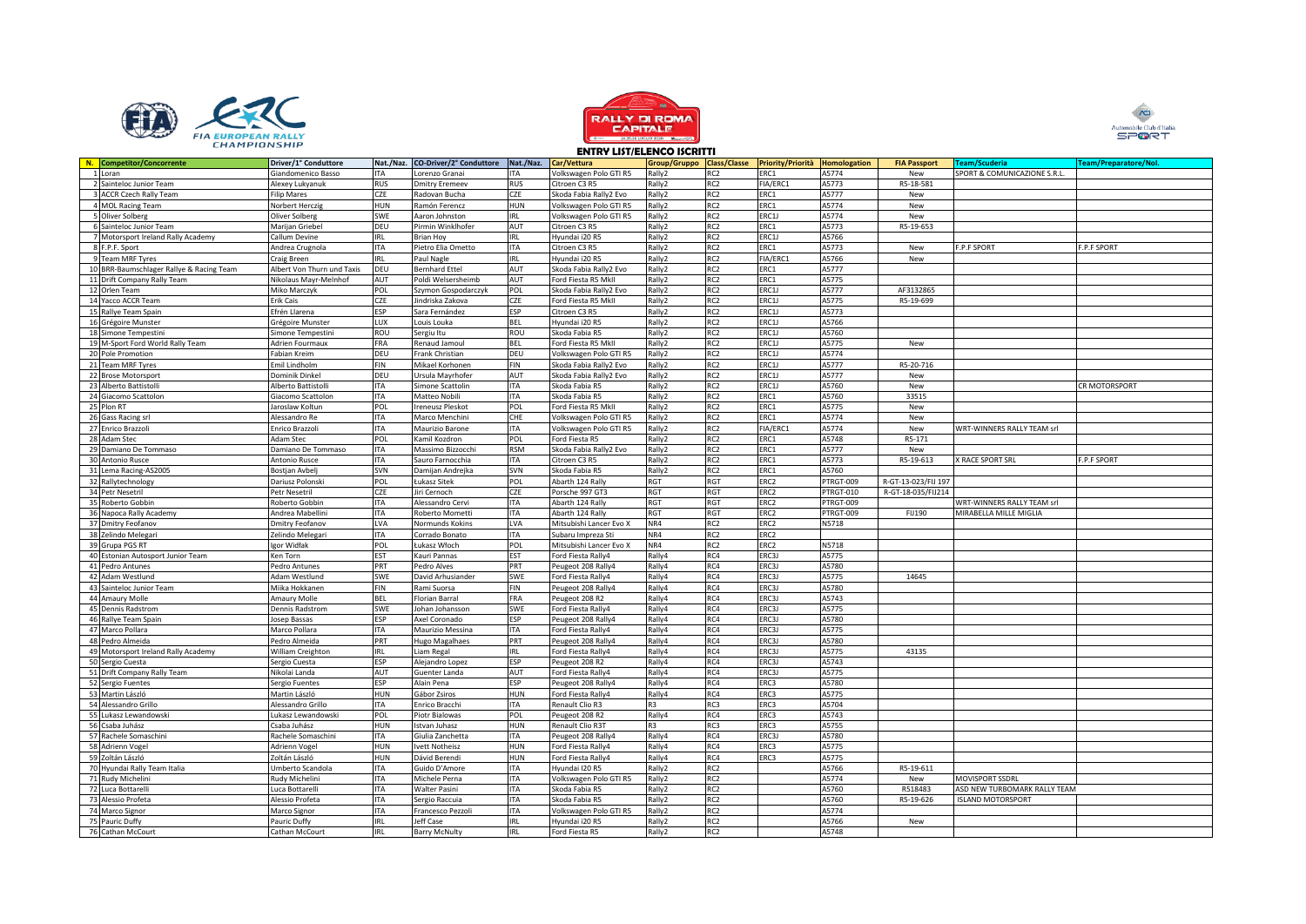





|                                          |                            |            |                                   |            |                         | וו וואטעו שטוום. |                 |                                                          |           |                     |                              |                       |
|------------------------------------------|----------------------------|------------|-----------------------------------|------------|-------------------------|------------------|-----------------|----------------------------------------------------------|-----------|---------------------|------------------------------|-----------------------|
| N. Competitor/Concorrente                | Driver/1° Conduttore       |            | Nat./Naz. CO-Driver/2° Conduttore | Nat./Naz.  | Car/Vettura             |                  |                 | Group/Gruppo Class/Classe Priority/Priorità Homologation |           | <b>FIA Passport</b> | <b>Team/Scuderia</b>         | Team/Preparatore/Nol. |
| 1 Loran                                  | Giandomenico Basso         | <b>ITA</b> | Lorenzo Granai                    | ITA        | Volkswagen Polo GTI R5  | Rally2           | RC <sub>2</sub> | ERC1                                                     | A5774     | New                 | SPORT & COMUNICAZIONE S.R.L. |                       |
| 2 Sainteloc Junior Team                  | Alexey Lukyanuk            | <b>RUS</b> | <b>Dmitry Eremeev</b>             | <b>RUS</b> | Citroen C3 R5           | Rally2           | RC <sub>2</sub> | FIA/ERC1                                                 | A5773     | R5-18-581           |                              |                       |
| 3 ACCR Czech Rally Team                  | <b>Filip Mares</b>         | CZE        | Radovan Bucha                     | CZE        | Skoda Fabia Rally2 Evo  | Rally2           | RC <sub>2</sub> | ERC1                                                     | A5777     | New                 |                              |                       |
| 4 MOL Racing Team                        | Norbert Herczig            | <b>HUN</b> | Ramón Ferencz                     | <b>HUN</b> | Volkswagen Polo GTI R5  | Rally2           | RC <sub>2</sub> | ERC1                                                     | A5774     | New                 |                              |                       |
| 5 Oliver Solberg                         | Oliver Solberg             | SWE        | Aaron Johnston                    | IRL        | Volkswagen Polo GTI R5  | Rally2           | RC <sub>2</sub> | ERC1J                                                    | A5774     | New                 |                              |                       |
| 6 Sainteloc Junior Team                  | Marijan Griebel            | DEU        | Pirmin Winklhofer                 | AUT        | Citroen C3 R5           | Rally2           | RC <sub>2</sub> | ERC1                                                     | A5773     | R5-19-653           |                              |                       |
| 7 Motorsport Ireland Rally Academy       | Callum Devine              | <b>IRL</b> | <b>Brian Hoy</b>                  | IRL        | Hyundai i20 R5          | Rally2           | RC <sub>2</sub> | ERC1J                                                    | A5766     |                     |                              |                       |
|                                          |                            | <b>ITA</b> |                                   | <b>ITA</b> |                         | Rally2           | RC <sub>2</sub> | ERC1                                                     | A5773     |                     | <b>F.P.F SPORT</b>           | <b>F.P.F SPORT</b>    |
| 8 F.P.F. Sport                           | Andrea Crugnola            |            | Pietro Elia Ometto                |            | Citroen C3 R5           |                  |                 |                                                          |           | New                 |                              |                       |
| 9 Team MRF Tyres                         | Craig Breen                | <b>IRL</b> | Paul Nagle                        | IRL        | Hyundai i20 R5          | Rally2           | RC <sub>2</sub> | FIA/ERC1                                                 | A5766     | New                 |                              |                       |
| 10 BRR-Baumschlager Rallye & Racing Team | Albert Von Thurn und Taxis | DEU        | <b>Bernhard Ettel</b>             | AUT        | Skoda Fabia Rally2 Evo  | Rally2           | RC <sub>2</sub> | ERC1                                                     | A5777     |                     |                              |                       |
| 11 Drift Company Rally Team              | Nikolaus Mayr-Melnhof      | AUT        | Poldi Welsersheimb                | AUT        | Ford Fiesta R5 MkII     | Rally2           | RC <sub>2</sub> | ERC1                                                     | A5775     |                     |                              |                       |
| 12 Orlen Team                            | Miko Marczyk               | POL        | Szymon Gospodarczyk               | POL        | Skoda Fabia Rally2 Evo  | Rally2           | RC <sub>2</sub> | ERC1J                                                    | A5777     | AF3132865           |                              |                       |
| 14 Yacco ACCR Team                       | Erik Cais                  | <b>CZE</b> | Jindriska Zakova                  | CZE        | Ford Fiesta R5 MkII     | Rally2           | RC <sub>2</sub> | ERC1J                                                    | A5775     | R5-19-699           |                              |                       |
| 15 Rallye Team Spain                     | Efrén Llarena              | ESP        | Sara Fernández                    | ESP        | Citroen C3 R5           | Rally2           | RC <sub>2</sub> | ERC1J                                                    | A5773     |                     |                              |                       |
| 16 Grégoire Munster                      | Grégoire Munster           | LUX        | Louis Louka                       | <b>BEL</b> | Hyundai i20 R5          | Rally2           | RC <sub>2</sub> | ERC1J                                                    | A5766     |                     |                              |                       |
| 18 Simone Tempestini                     | Simone Tempestini          | ROU        | Sergiu Itu                        | ROU        | Skoda Fabia R5          | Rally2           | RC <sub>2</sub> | ERC1J                                                    | A5760     |                     |                              |                       |
|                                          |                            |            |                                   |            |                         |                  | RC <sub>2</sub> | ERC1J                                                    |           |                     |                              |                       |
| 19 M-Sport Ford World Rally Team         | Adrien Fourmaux            | FRA        | Renaud Jamoul                     | <b>BEL</b> | Ford Fiesta R5 MkII     | Rally2           |                 |                                                          | A5775     | New                 |                              |                       |
| 20 Pole Promotion                        | Fabian Kreim               | DEU        | Frank Christian                   | DEU        | Volkswagen Polo GTI R5  | Rally2           | RC <sub>2</sub> | ERC1J                                                    | A5774     |                     |                              |                       |
| 21 Team MRF Tyres                        | Emil Lindholm              | <b>FIN</b> | Mikael Korhonen                   | <b>FIN</b> | Skoda Fabia Rally2 Evo  | Rally2           | RC <sub>2</sub> | ERC1J                                                    | A5777     | R5-20-716           |                              |                       |
| 22 Brose Motorsport                      | Dominik Dinkel             | DEU        | Ursula Mayrhofer                  | AUT        | Skoda Fabia Rally2 Evo  | Rally2           | RC <sub>2</sub> | ERC1J                                                    | A5777     | New                 |                              |                       |
| 23 Alberto Battistolli                   | Alberto Battistolli        | ITA        | Simone Scattolin                  | ITA        | Skoda Fabia R5          | Rally2           | RC <sub>2</sub> | ERC1J                                                    | A5760     | New                 |                              | CR MOTORSPORT         |
| 24 Giacomo Scattolon                     | Giacomo Scattolon          | <b>ITA</b> | Matteo Nobili                     | <b>ITA</b> | Skoda Fabia R5          | Rally2           | RC <sub>2</sub> | ERC1                                                     | A5760     | 33515               |                              |                       |
| 25 Plon RT                               | aroslaw Koltun             | POL        | reneusz Pleskot                   | POL        | Ford Fiesta R5 MkII     | Rally2           | RC <sub>2</sub> | ERC1                                                     | A5775     | New                 |                              |                       |
| 26 Gass Racing srl                       | Alessandro Re              | ITA        | Marco Menchini                    | CHE        | Volkswagen Polo GTI R5  | Rally2           | RC <sub>2</sub> | ERC1                                                     | A5774     | New                 |                              |                       |
|                                          |                            | <b>ITA</b> |                                   |            |                         |                  | RC <sub>2</sub> | FIA/ERC1                                                 |           |                     |                              |                       |
| 27 Enrico Brazzoli                       | Enrico Brazzoli            |            | Maurizio Barone                   | ITA        | Volkswagen Polo GTI R5  | Rally2           |                 |                                                          | A5774     | New                 | WRT-WINNERS RALLY TEAM srl   |                       |
| 28 Adam Stec                             | Adam Stec                  | POL        | Kamil Kozdron                     | POL        | Ford Fiesta R5          | Rally2           | RC <sub>2</sub> | ERC1                                                     | A5748     | R5-171              |                              |                       |
| 29 Damiano De Tommaso                    | Damiano De Tommaso         | <b>ITA</b> | Massimo Bizzocchi                 | <b>RSM</b> | Skoda Fabia Rally2 Evo  | Rally2           | RC <sub>2</sub> | ERC1                                                     | A5777     | New                 |                              |                       |
| 30 Antonio Rusce                         | Antonio Rusce              | ITA        | Sauro Farnocchia                  | ITA        | Citroen C3 R5           | Rally2           | RC <sub>2</sub> | ERC1                                                     | A5773     | R5-19-613           | X RACE SPORT SRL             | <b>F.P.F SPORT</b>    |
| 31 Lema Racing-AS2005                    | Bostjan Avbelj             | SVN        | Damijan Andrejka                  | SVN        | Skoda Fabia R5          | Rally2           | RC <sub>2</sub> | ERC1                                                     | A5760     |                     |                              |                       |
| 32 Rallytechnology                       | Dariusz Polonski           | POL        | Łukasz Sitek                      | POL        | Abarth 124 Rally        | RGT              | RGT             | ERC <sub>2</sub>                                         | PTRGT-009 | R-GT-13-023/FIJ 197 |                              |                       |
| 34 Petr Nesetril                         | Petr Nesetril              | CZE        | Jiri Cernoch                      | CZE        | Porsche 997 GT3         | RGT              | RGT             | ERC <sub>2</sub>                                         | PTRGT-010 | R-GT-18-035/FIJ214  |                              |                       |
| 35 Roberto Gobbin                        | Roberto Gobbin             | ITA        | Alessandro Cervi                  | ITA        | Abarth 124 Rally        | RGT              | RGT             | ERC <sub>2</sub>                                         | PTRGT-009 |                     | WRT-WINNERS RALLY TEAM srl   |                       |
| 36 Napoca Rally Academy                  | Andrea Mabellini           | <b>ITA</b> | Roberto Mometti                   | <b>ITA</b> | Abarth 124 Rally        | <b>RGT</b>       | RGT             | ERC <sub>2</sub>                                         | PTRGT-009 |                     | MIRABELLA MILLE MIGLIA       |                       |
|                                          |                            |            |                                   |            |                         |                  |                 |                                                          |           | FIJ190              |                              |                       |
| 37 Dmitry Feofanov                       | Dmitry Feofanov            | LVA        | Normunds Kokins                   | LVA        | Mitsubishi Lancer Evo X | NR4              | RC <sub>2</sub> | ERC <sub>2</sub>                                         | N5718     |                     |                              |                       |
| 38 Zelindo Melegari                      | Zelindo Melegari           | <b>ITA</b> | Corrado Bonato                    | <b>ITA</b> | Subaru Impreza Sti      | NR4              | RC <sub>2</sub> | ERC <sub>2</sub>                                         |           |                     |                              |                       |
| 39 Grupa PGS RT                          | Igor Widłak                | POL        | Łukasz Włoch                      | POL        | Mitsubishi Lancer Evo X | NR4              | RC <sub>2</sub> | ERC <sub>2</sub>                                         | N5718     |                     |                              |                       |
| 40 Estonian Autosport Junior Team        | Ken Torn                   | EST        | Kauri Pannas                      | EST        | Ford Fiesta Rally4      | Rally4           | RC4             | ERC3J                                                    | A5775     |                     |                              |                       |
| 41 Pedro Antunes                         | Pedro Antunes              | PRT        | Pedro Alves                       | PRT        | Peugeot 208 Rally4      | Rally4           | RC4             | ERC3J                                                    | A5780     |                     |                              |                       |
| 42 Adam Westlund                         | Adam Westlund              | SWE        | David Arhusiander                 | SWE        | Ford Fiesta Rally4      | Rally4           | RC4             | ERC3J                                                    | A5775     | 14645               |                              |                       |
| 43 Sainteloc Junior Team                 | Miika Hokkanen             | FIN        | Rami Suorsa                       | FIN        | Peugeot 208 Rally4      | Rally4           | RC4             | ERC3J                                                    | A5780     |                     |                              |                       |
| 44 Amaury Molle                          | Amaury Molle               | <b>BEL</b> | Florian Barral                    | FRA        | Peugeot 208 R2          | Rally4           | RC4             | ERC3J                                                    | A5743     |                     |                              |                       |
| 45 Dennis Radstrom                       | Dennis Radstrom            | SWE        | ohan Johansson                    | SWE        |                         |                  | RC4             | ERC3J                                                    | A5775     |                     |                              |                       |
|                                          |                            |            |                                   |            | Ford Fiesta Rally4      | Rally4           |                 |                                                          |           |                     |                              |                       |
| 46 Rallye Team Spain                     | Josep Bassas               | ESP        | Axel Coronado                     | ESP        | Peugeot 208 Rally4      | Rally4           | RC4             | ERC3J                                                    | A5780     |                     |                              |                       |
| 47 Marco Pollara                         | Marco Pollara              | <b>ITA</b> | Maurizio Messina                  | ITA        | Ford Fiesta Rally4      | Rally4           | RC4             | ERC3J                                                    | A5775     |                     |                              |                       |
| 48 Pedro Almeida                         | Pedro Almeida              | PRT        | Hugo Magalhaes                    | PRT        | Peugeot 208 Rally4      | Rally4           | RC4             | ERC3J                                                    | A5780     |                     |                              |                       |
| 49 Motorsport Ireland Rally Academy      | William Creighton          | <b>IRL</b> | Liam Regal                        | IRL        | Ford Fiesta Rally4      | Rally4           | RC4             | ERC3J                                                    | A5775     | 43135               |                              |                       |
| 50 Sergio Cuesta                         | Sergio Cuesta              | ESP        | Alejandro Lopez                   | ESP        | Peugeot 208 R2          | Rally4           | RC4             | ERC3J                                                    | A5743     |                     |                              |                       |
| 51 Drift Company Rally Team              | Nikolai Landa              | AUT        | Guenter Landa                     | AUT        | Ford Fiesta Rally4      | Rally4           | RC4             | ERC3J                                                    | A5775     |                     |                              |                       |
| 52 Sergio Fuentes                        | Sergio Fuentes             | ESP        | Alain Pena                        | ESP        | Peugeot 208 Rally4      | Rally4           | RC4             | ERC3                                                     | A5780     |                     |                              |                       |
| 53 Martin László                         | Martin László              | <b>HUN</b> | Gábor Zsiros                      | <b>HUN</b> | Ford Fiesta Rally4      | Rally4           | RC4             | ERC3                                                     | A5775     |                     |                              |                       |
| 54 Alessandro Grillo                     |                            | ITA        |                                   | ITA        | Renault Clio R3         | R <sub>3</sub>   | RC3             | ERC3                                                     | A5704     |                     |                              |                       |
|                                          | Alessandro Grillo          |            | Enrico Bracchi                    |            |                         |                  |                 |                                                          |           |                     |                              |                       |
| 55 Lukasz Lewandowski                    | ukasz Lewandowski          | POL        | Piotr Bialowas                    | POL        | Peugeot 208 R2          | Rally4           | RC4             | ERC3                                                     | A5743     |                     |                              |                       |
| 56 Csaba Juhász                          | Csaba Juhász               | <b>HUN</b> | Istvan Juhasz                     | HUN        | Renault Clio R3T        | R3               | RC3             | ERC3                                                     | A5755     |                     |                              |                       |
| 57 Rachele Somaschini                    | Rachele Somaschini         | ITA        | Giulia Zanchetta                  | ITA        | Peugeot 208 Rally4      | Rally4           | RC4             | ERC3J                                                    | A5780     |                     |                              |                       |
| 58 Adrienn Vogel                         | Adrienn Vogel              | HUN        | Ivett Notheisz                    | <b>HUN</b> | Ford Fiesta Rally4      | Rally4           | RC4             | ERC3                                                     | A5775     |                     |                              |                       |
| 59 Zoltán László                         | Zoltán László              | <b>HUN</b> | Dávid Berendi                     | <b>HUN</b> | Ford Fiesta Rally4      | Rally4           | RC4             | ERC3                                                     | A5775     |                     |                              |                       |
| 70 Hyundai Rally Team Italia             | Jmberto Scandola           | ITA        | Guido D'Amore                     | ITA        | Hyundai 120 R5          | Rally2           | RC <sub>2</sub> |                                                          | A5766     | R5-19-611           |                              |                       |
| 71 Rudy Michelini                        | Rudy Michelini             | <b>ITA</b> | Michele Perna                     | ITA        | Volkswagen Polo GTI R5  | Rally2           | RC <sub>2</sub> |                                                          | A5774     | New                 | <b>MOVISPORT SSDRL</b>       |                       |
|                                          |                            |            |                                   |            |                         |                  |                 |                                                          |           |                     |                              |                       |
| 72 Luca Bottarelli                       | Luca Bottarelli            | <b>ITA</b> | Walter Pasini                     | <b>ITA</b> | Skoda Fabia R5          | Rally2           | RC <sub>2</sub> |                                                          | A5760     | R518483             | ASD NEW TURBOMARK RALLY TEAM |                       |
| 73 Alessio Profeta                       | Alessio Profeta            | ITA        | Sergio Raccuia                    | ITA        | Skoda Fabia R5          | Rally2           | RC <sub>2</sub> |                                                          | A5760     | R5-19-626           | <b>ISLAND MOTORSPORT</b>     |                       |
| 74 Marco Signor                          | Marco Signor               | ITA        | Francesco Pezzoli                 | ITA        | Volkswagen Polo GTI R5  | Rally2           | RC <sub>2</sub> |                                                          | A5774     |                     |                              |                       |
| 75 Pauric Duffy                          | Pauric Duffy               | <b>IRL</b> | Jeff Case                         | IRL        | Hyundai i20 R5          | Rally2           | RC <sub>2</sub> |                                                          | A5766     | New                 |                              |                       |
| 76 Cathan McCourt                        | Cathan McCourt             | <b>IRL</b> | <b>Barry McNulty</b>              | <b>IRL</b> | Ford Fiesta R5          | Rally2           | RC <sub>2</sub> |                                                          | A5748     |                     |                              |                       |